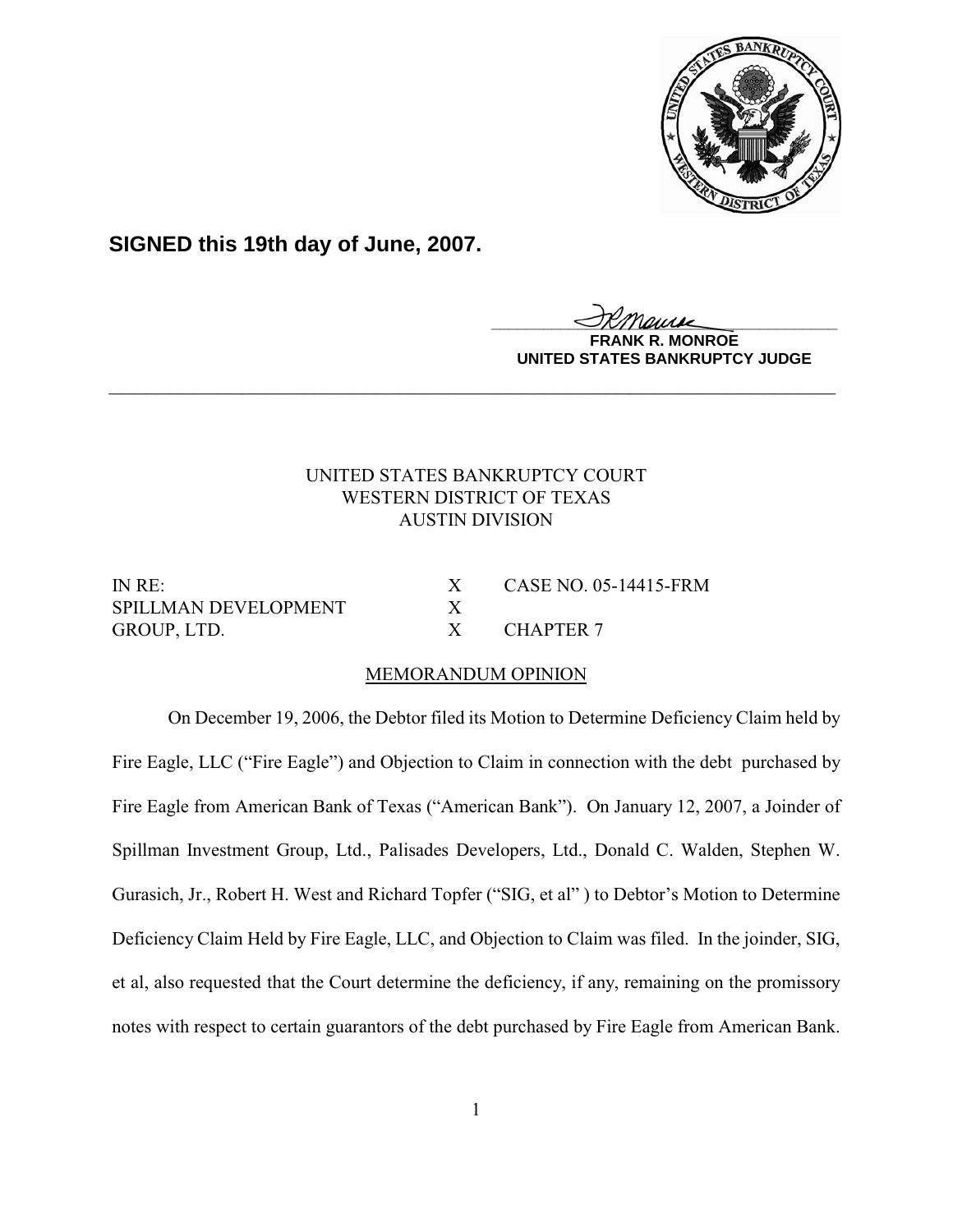

# **SIGNED this 19th day of June, 2007.**

**\_\_\_\_\_\_\_\_\_\_\_\_\_\_\_\_\_\_\_\_\_\_\_\_\_\_\_\_\_\_\_\_\_\_\_\_\_\_\_\_**

**MONROE UNITED STATES BANKRUPTCY JUDGE**

# UNITED STATES BANKRUPTCY COURT WESTERN DISTRICT OF TEXAS AUSTIN DIVISION

**\_\_\_\_\_\_\_\_\_\_\_\_\_\_\_\_\_\_\_\_\_\_\_\_\_\_\_\_\_\_\_\_\_\_\_\_\_\_\_\_\_\_\_\_\_\_\_\_\_\_\_\_\_\_\_\_\_\_\_\_**

SPILLMAN DEVELOPMENT X GROUP, LTD. X CHAPTER 7

IN RE: X CASE NO. 05-14415-FRM

## MEMORANDUM OPINION

On December 19, 2006, the Debtor filed its Motion to Determine Deficiency Claim held by Fire Eagle, LLC ("Fire Eagle") and Objection to Claim in connection with the debt purchased by Fire Eagle from American Bank of Texas ("American Bank"). On January 12, 2007, a Joinder of Spillman Investment Group, Ltd., Palisades Developers, Ltd., Donald C. Walden, Stephen W. Gurasich, Jr., Robert H. West and Richard Topfer ("SIG, et al" ) to Debtor's Motion to Determine Deficiency Claim Held by Fire Eagle, LLC, and Objection to Claim was filed. In the joinder, SIG, et al, also requested that the Court determine the deficiency, if any, remaining on the promissory notes with respect to certain guarantors of the debt purchased by Fire Eagle from American Bank.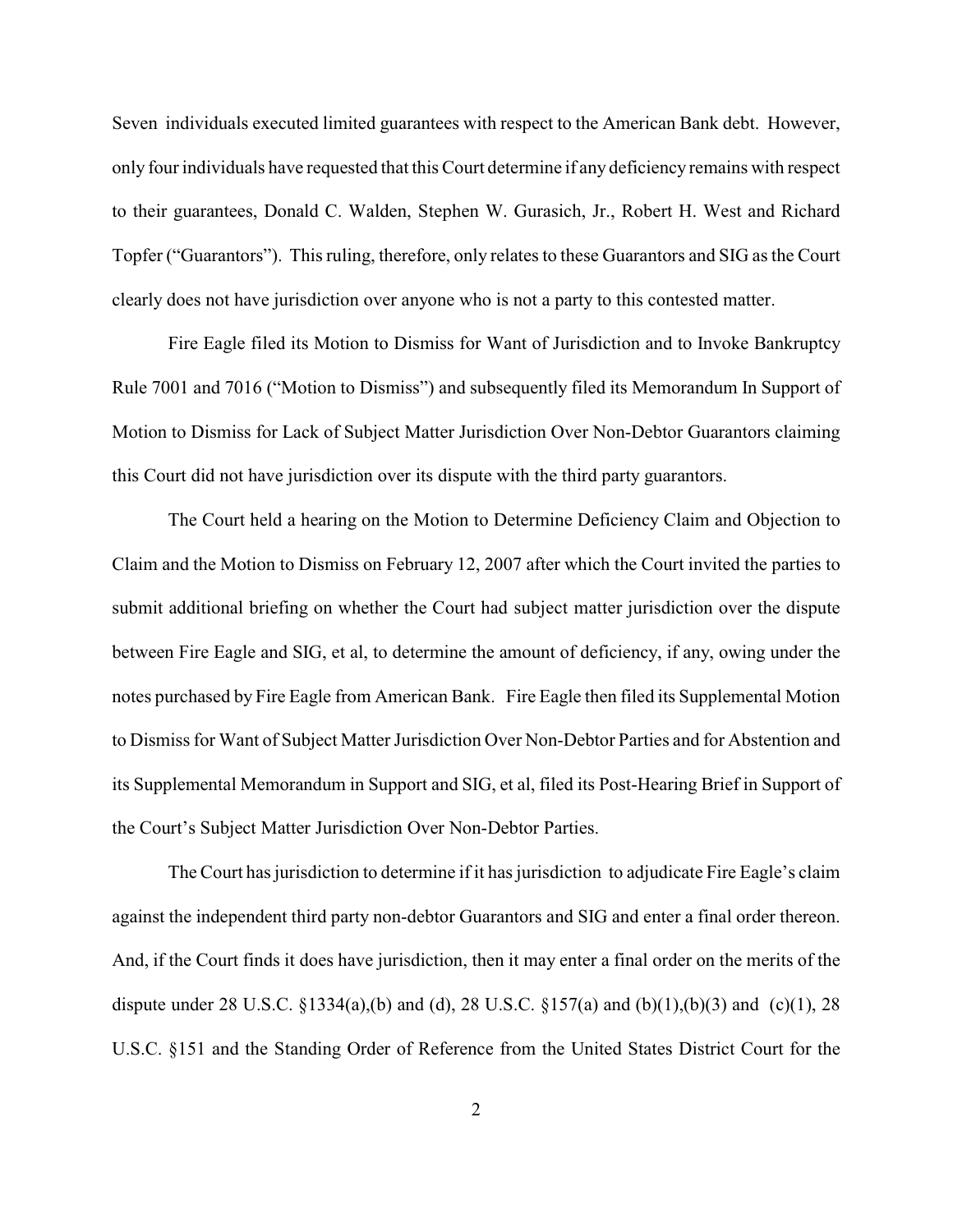Seven individuals executed limited guarantees with respect to the American Bank debt. However, only four individuals have requested that this Court determine if any deficiency remains with respect to their guarantees, Donald C. Walden, Stephen W. Gurasich, Jr., Robert H. West and Richard Topfer ("Guarantors"). This ruling, therefore, only relates to these Guarantors and SIG as the Court clearly does not have jurisdiction over anyone who is not a party to this contested matter.

Fire Eagle filed its Motion to Dismiss for Want of Jurisdiction and to Invoke Bankruptcy Rule 7001 and 7016 ("Motion to Dismiss") and subsequently filed its Memorandum In Support of Motion to Dismiss for Lack of Subject Matter Jurisdiction Over Non-Debtor Guarantors claiming this Court did not have jurisdiction over its dispute with the third party guarantors.

The Court held a hearing on the Motion to Determine Deficiency Claim and Objection to Claim and the Motion to Dismiss on February 12, 2007 after which the Court invited the parties to submit additional briefing on whether the Court had subject matter jurisdiction over the dispute between Fire Eagle and SIG, et al, to determine the amount of deficiency, if any, owing under the notes purchased by Fire Eagle from American Bank. Fire Eagle then filed its Supplemental Motion to Dismiss for Want of Subject Matter Jurisdiction Over Non-Debtor Parties and for Abstention and its Supplemental Memorandum in Support and SIG, et al, filed its Post-Hearing Brief in Support of the Court's Subject Matter Jurisdiction Over Non-Debtor Parties.

The Court has jurisdiction to determine if it has jurisdiction to adjudicate Fire Eagle's claim against the independent third party non-debtor Guarantors and SIG and enter a final order thereon. And, if the Court finds it does have jurisdiction, then it may enter a final order on the merits of the dispute under 28 U.S.C. §1334(a),(b) and (d), 28 U.S.C. §157(a) and (b)(1),(b)(3) and (c)(1), 28 U.S.C. §151 and the Standing Order of Reference from the United States District Court for the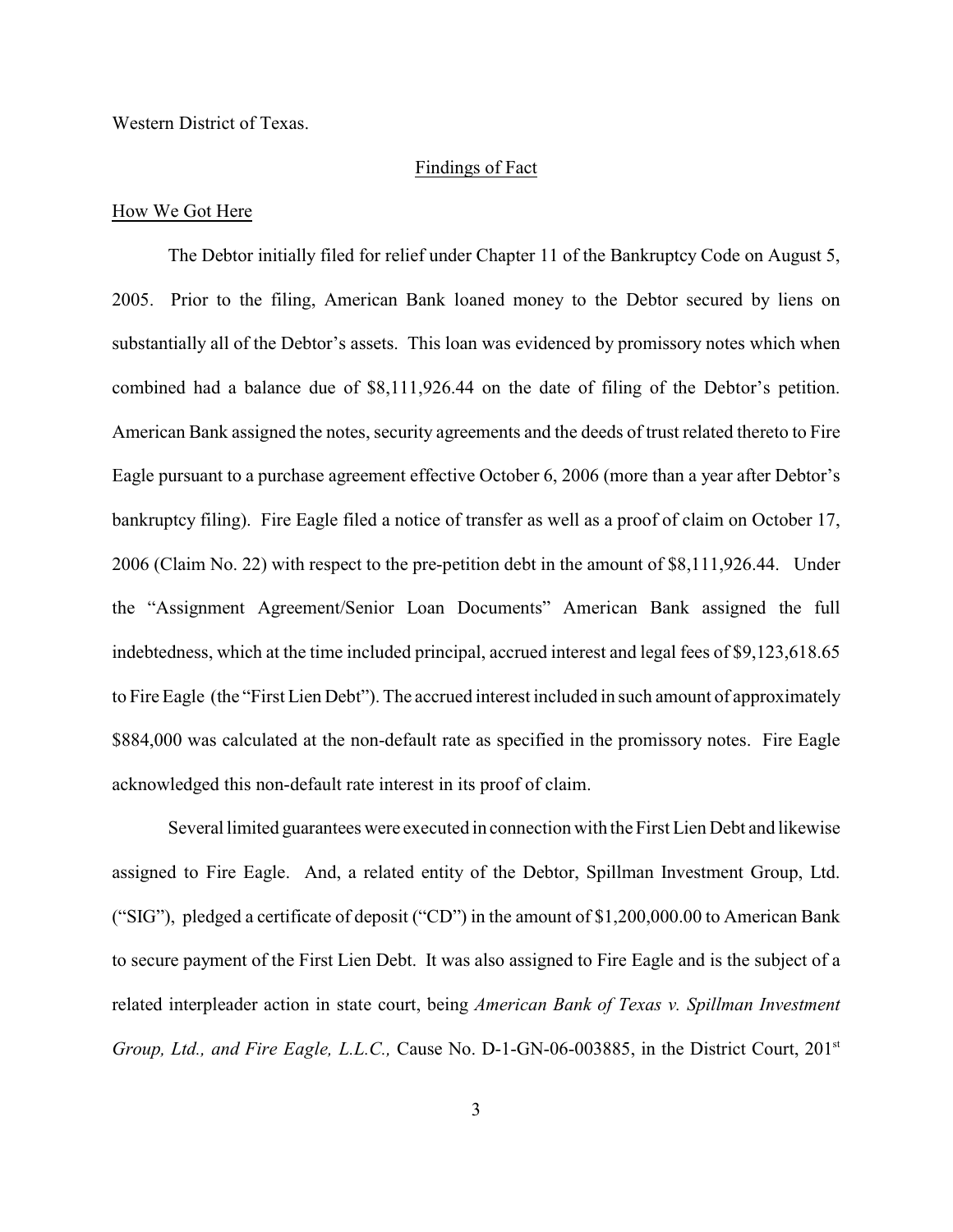Western District of Texas.

#### Findings of Fact

#### How We Got Here

The Debtor initially filed for relief under Chapter 11 of the Bankruptcy Code on August 5, 2005. Prior to the filing, American Bank loaned money to the Debtor secured by liens on substantially all of the Debtor's assets. This loan was evidenced by promissory notes which when combined had a balance due of \$8,111,926.44 on the date of filing of the Debtor's petition. American Bank assigned the notes, security agreements and the deeds of trust related thereto to Fire Eagle pursuant to a purchase agreement effective October 6, 2006 (more than a year after Debtor's bankruptcy filing). Fire Eagle filed a notice of transfer as well as a proof of claim on October 17, 2006 (Claim No. 22) with respect to the pre-petition debt in the amount of \$8,111,926.44. Under the "Assignment Agreement/Senior Loan Documents" American Bank assigned the full indebtedness, which at the time included principal, accrued interest and legal fees of \$9,123,618.65 to Fire Eagle (the "First Lien Debt"). The accrued interest included in such amount of approximately \$884,000 was calculated at the non-default rate as specified in the promissory notes. Fire Eagle acknowledged this non-default rate interest in its proof of claim.

Several limited guarantees were executed in connection with the First Lien Debt and likewise assigned to Fire Eagle. And, a related entity of the Debtor, Spillman Investment Group, Ltd. ("SIG"), pledged a certificate of deposit ("CD") in the amount of \$1,200,000.00 to American Bank to secure payment of the First Lien Debt. It was also assigned to Fire Eagle and is the subject of a related interpleader action in state court, being *American Bank of Texas v. Spillman Investment Group, Ltd., and Fire Eagle, L.L.C., Cause No. D-1-GN-06-003885, in the District Court, 201<sup>st</sup>*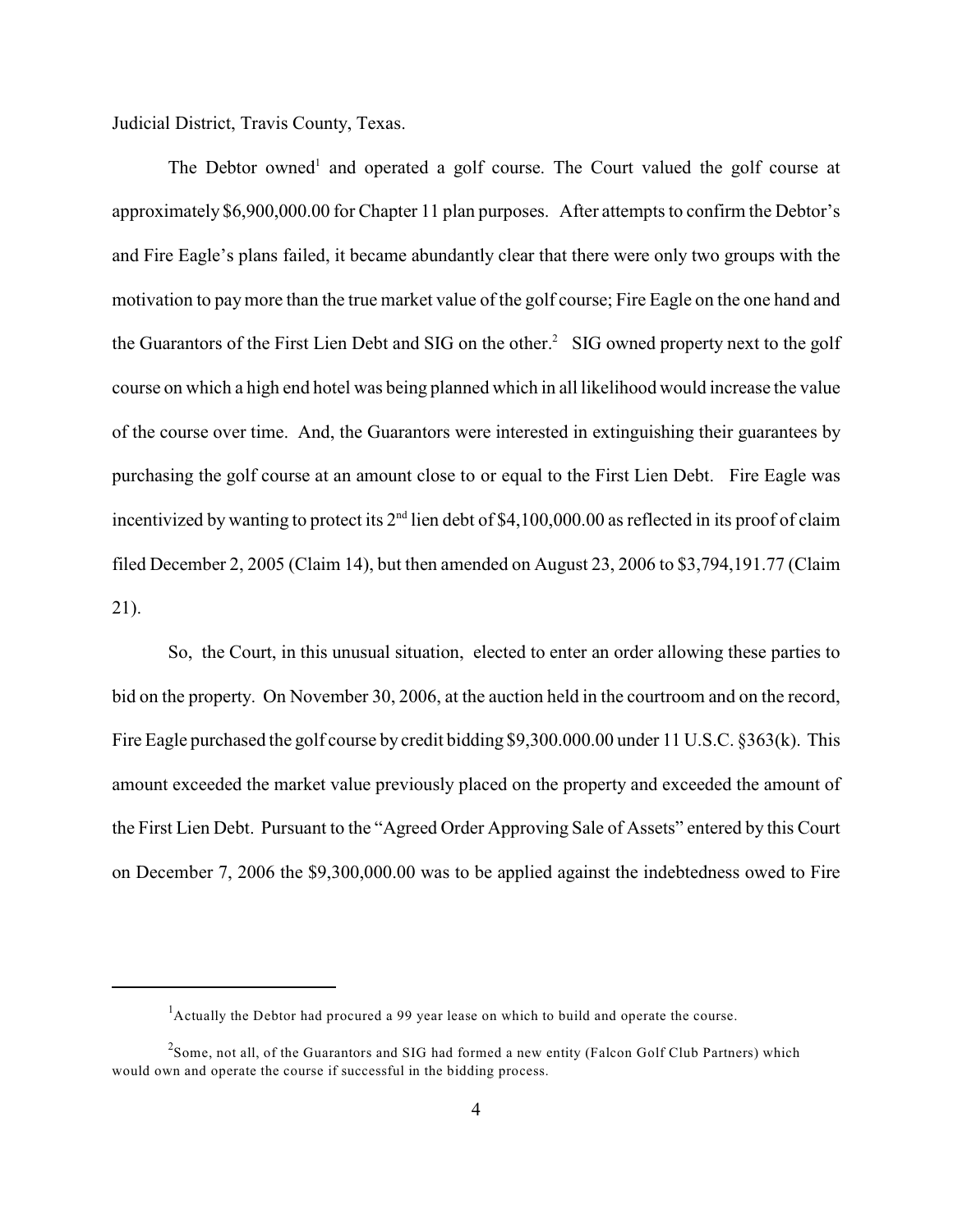Judicial District, Travis County, Texas.

The Debtor owned<sup>1</sup> and operated a golf course. The Court valued the golf course at approximately \$6,900,000.00 for Chapter 11 plan purposes. After attempts to confirm the Debtor's and Fire Eagle's plans failed, it became abundantly clear that there were only two groups with the motivation to pay more than the true market value of the golf course; Fire Eagle on the one hand and the Guarantors of the First Lien Debt and SIG on the other.<sup>2</sup> SIG owned property next to the golf course on which a high end hotel was being planned which in all likelihood would increase the value of the course over time. And, the Guarantors were interested in extinguishing their guarantees by purchasing the golf course at an amount close to or equal to the First Lien Debt. Fire Eagle was incentivized by wanting to protect its  $2<sup>nd</sup>$  lien debt of \$4,100,000.00 as reflected in its proof of claim filed December 2, 2005 (Claim 14), but then amended on August 23, 2006 to \$3,794,191.77 (Claim 21).

So, the Court, in this unusual situation, elected to enter an order allowing these parties to bid on the property. On November 30, 2006, at the auction held in the courtroom and on the record, Fire Eagle purchased the golf course by credit bidding \$9,300.000.00 under 11 U.S.C. §363(k). This amount exceeded the market value previously placed on the property and exceeded the amount of the First Lien Debt. Pursuant to the "Agreed Order Approving Sale of Assets" entered by this Court on December 7, 2006 the \$9,300,000.00 was to be applied against the indebtedness owed to Fire

 $<sup>1</sup>$  Actually the Debtor had procured a 99 year lease on which to build and operate the course.</sup>

 $<sup>2</sup>$ Some, not all, of the Guarantors and SIG had formed a new entity (Falcon Golf Club Partners) which</sup> would own and operate the course if successful in the bidding process.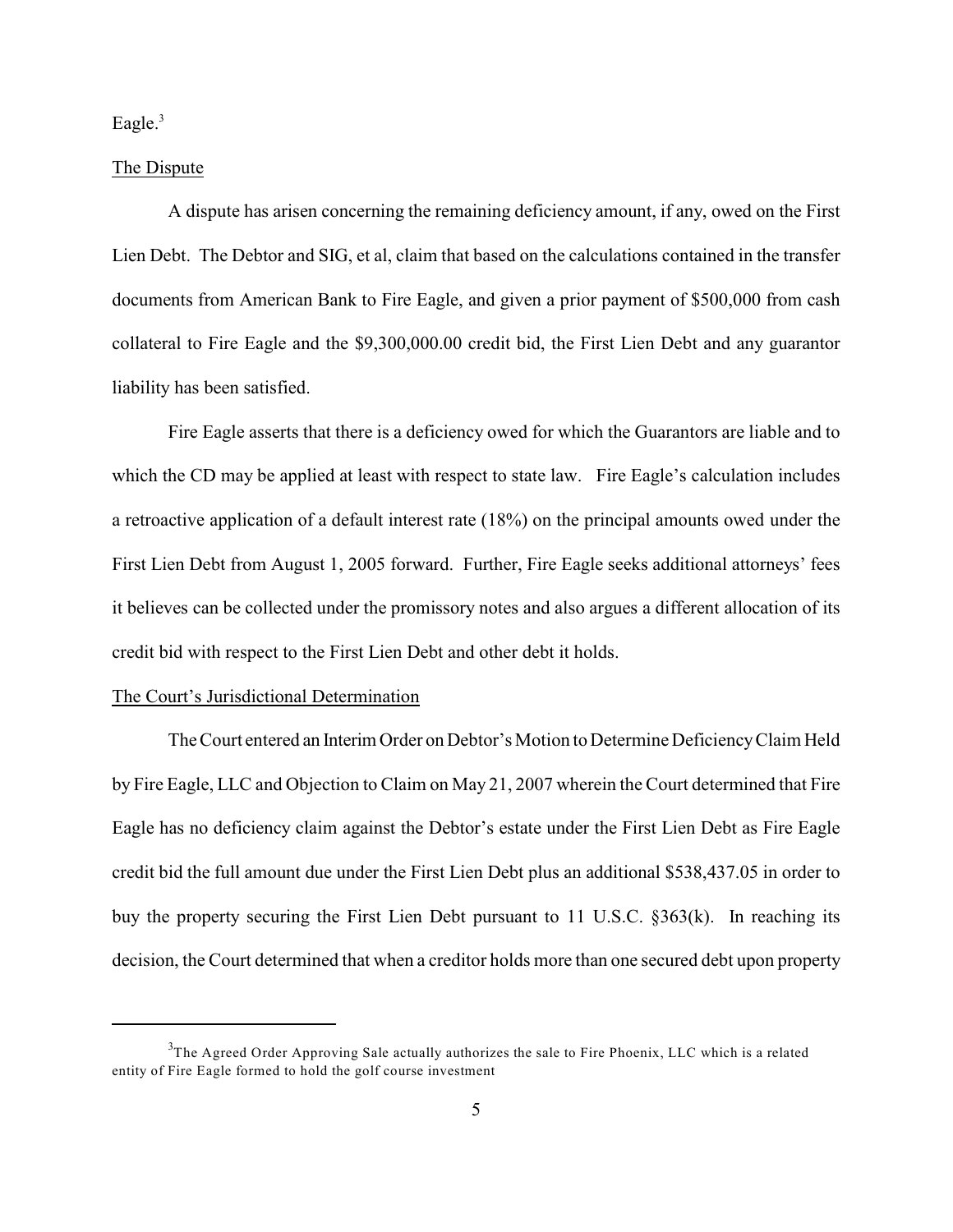Eagle. $3$ 

#### The Dispute

A dispute has arisen concerning the remaining deficiency amount, if any, owed on the First Lien Debt. The Debtor and SIG, et al, claim that based on the calculations contained in the transfer documents from American Bank to Fire Eagle, and given a prior payment of \$500,000 from cash collateral to Fire Eagle and the \$9,300,000.00 credit bid, the First Lien Debt and any guarantor liability has been satisfied.

Fire Eagle asserts that there is a deficiency owed for which the Guarantors are liable and to which the CD may be applied at least with respect to state law. Fire Eagle's calculation includes a retroactive application of a default interest rate (18%) on the principal amounts owed under the First Lien Debt from August 1, 2005 forward. Further, Fire Eagle seeks additional attorneys' fees it believes can be collected under the promissory notes and also argues a different allocation of its credit bid with respect to the First Lien Debt and other debt it holds.

#### The Court's Jurisdictional Determination

The Court entered an Interim Order on Debtor's Motion to Determine Deficiency Claim Held by Fire Eagle, LLC and Objection to Claim on May 21, 2007 wherein the Court determined that Fire Eagle has no deficiency claim against the Debtor's estate under the First Lien Debt as Fire Eagle credit bid the full amount due under the First Lien Debt plus an additional \$538,437.05 in order to buy the property securing the First Lien Debt pursuant to 11 U.S.C. §363(k). In reaching its decision, the Court determined that when a creditor holds more than one secured debt upon property

 $3$ The Agreed Order Approving Sale actually authorizes the sale to Fire Phoenix, LLC which is a related entity of Fire Eagle formed to hold the golf course investment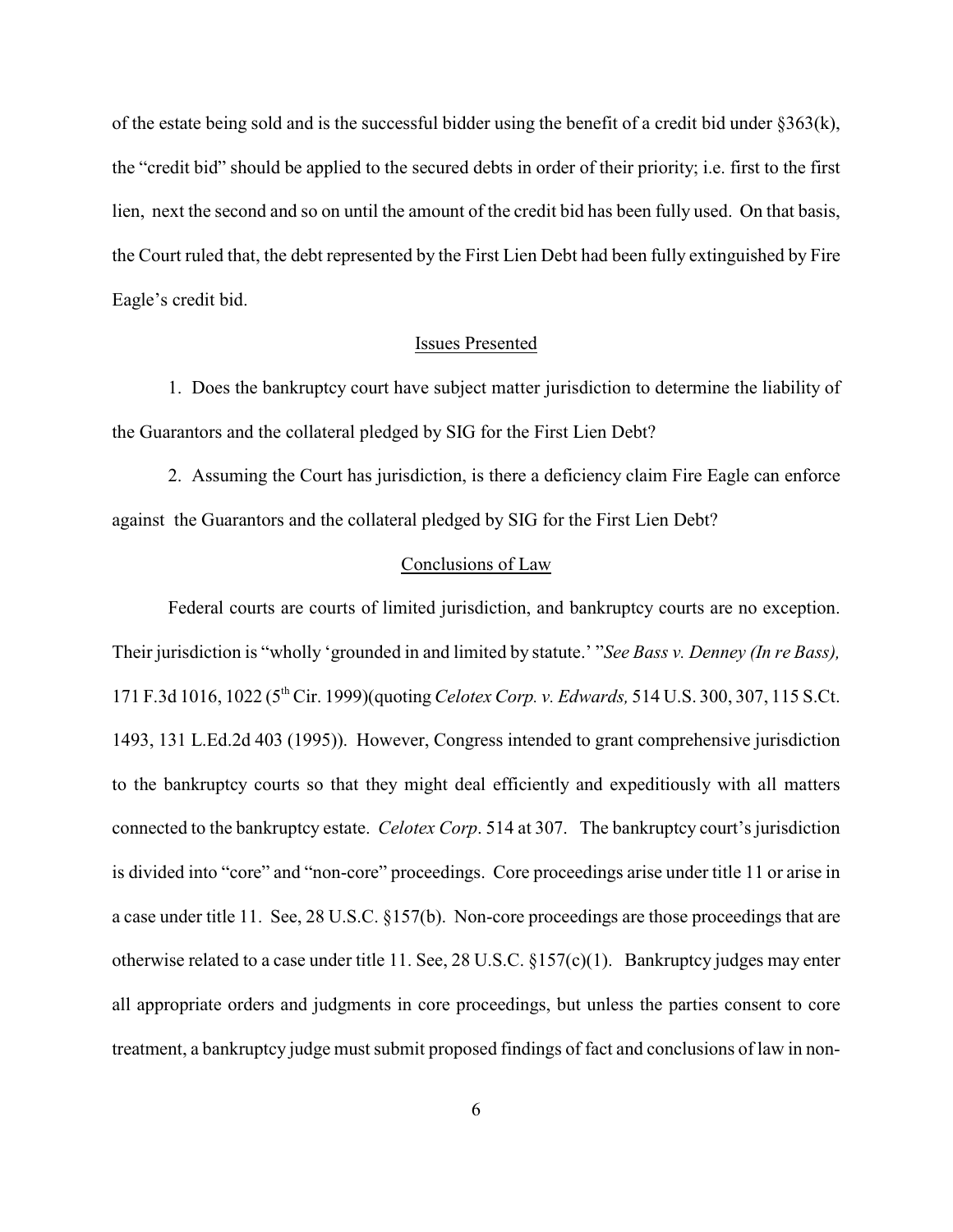of the estate being sold and is the successful bidder using the benefit of a credit bid under §363(k), the "credit bid" should be applied to the secured debts in order of their priority; i.e. first to the first lien, next the second and so on until the amount of the credit bid has been fully used. On that basis, the Court ruled that, the debt represented by the First Lien Debt had been fully extinguished by Fire Eagle's credit bid.

### Issues Presented

1. Does the bankruptcy court have subject matter jurisdiction to determine the liability of the Guarantors and the collateral pledged by SIG for the First Lien Debt?

2. Assuming the Court has jurisdiction, is there a deficiency claim Fire Eagle can enforce against the Guarantors and the collateral pledged by SIG for the First Lien Debt?

## Conclusions of Law

Federal courts are courts of limited jurisdiction, and bankruptcy courts are no exception. Their jurisdiction is "wholly 'grounded in and limited by statute.' "*See Bass v. Denney (In re Bass),* 171 F.3d 1016, 1022 (5<sup>th</sup> Cir. 1999)(quoting *Celotex Corp. v. Edwards*, 514 U.S. 300, 307, 115 S.Ct. 1493, 131 L.Ed.2d 403 (1995)). However, Congress intended to grant comprehensive jurisdiction to the bankruptcy courts so that they might deal efficiently and expeditiously with all matters connected to the bankruptcy estate. *Celotex Corp*. 514 at 307. The bankruptcy court's jurisdiction is divided into "core" and "non-core" proceedings. Core proceedings arise under title 11 or arise in a case under title 11. See, 28 U.S.C. §157(b). Non-core proceedings are those proceedings that are otherwise related to a case under title 11. See, 28 U.S.C. §157(c)(1). Bankruptcy judges may enter all appropriate orders and judgments in core proceedings, but unless the parties consent to core treatment, a bankruptcy judge must submit proposed findings of fact and conclusions of law in non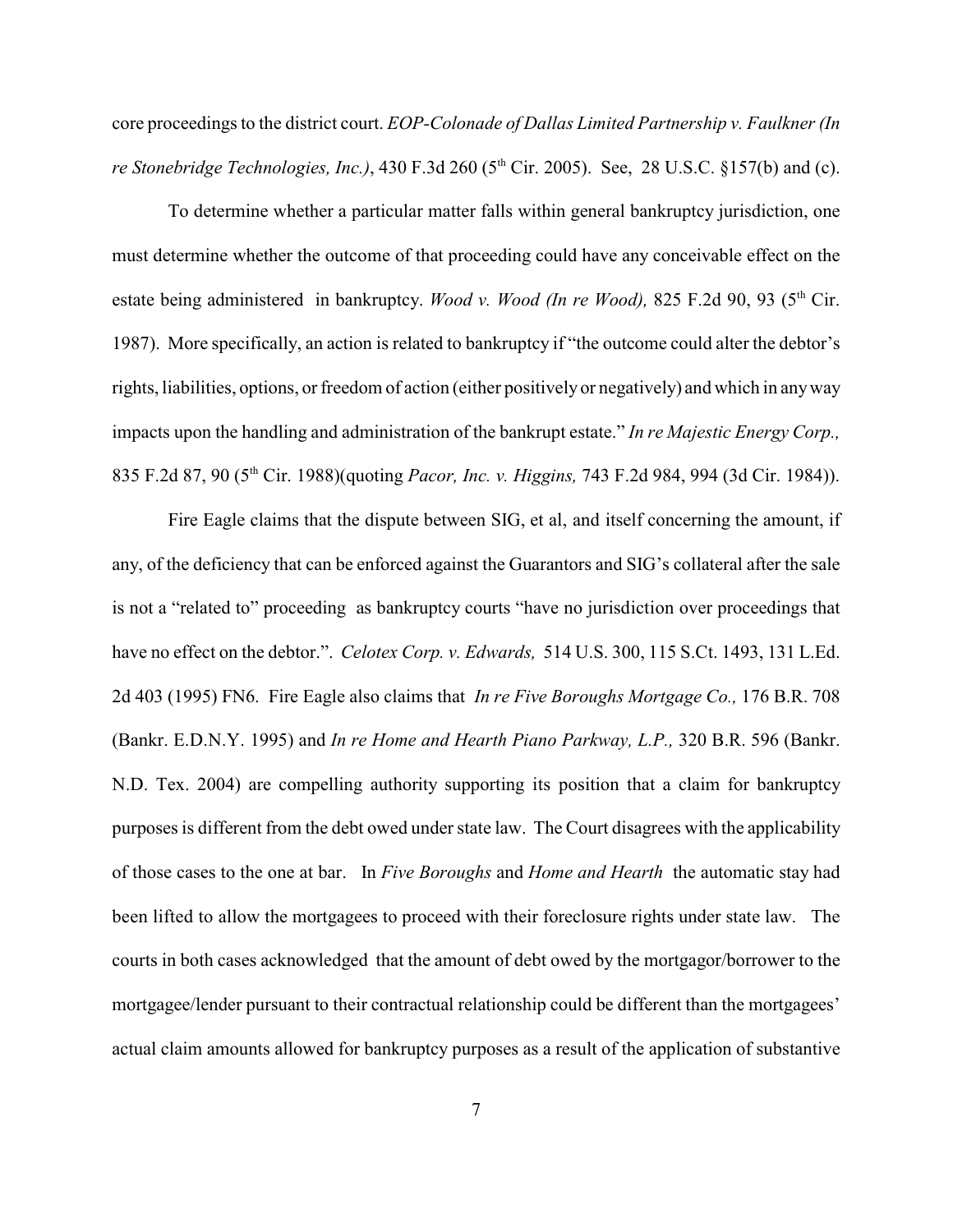core proceedings to the district court. *EOP-Colonade of Dallas Limited Partnership v. Faulkner (In re Stonebridge Technologies, Inc.*), 430 F.3d 260 (5<sup>th</sup> Cir. 2005). See, 28 U.S.C. §157(b) and (c).

To determine whether a particular matter falls within general bankruptcy jurisdiction, one must determine whether the outcome of that proceeding could have any conceivable effect on the estate being administered in bankruptcy. *Wood v. Wood (In re Wood)*, 825 F.2d 90, 93 (5<sup>th</sup> Cir. 1987). More specifically, an action is related to bankruptcy if "the outcome could alter the debtor's rights, liabilities, options, or freedom of action (either positively or negatively) and which in any way impacts upon the handling and administration of the bankrupt estate." *In re Majestic Energy Corp.,* 835 F.2d 87, 90 (5<sup>th</sup> Cir. 1988)(quoting *Pacor, Inc. v. Higgins,* 743 F.2d 984, 994 (3d Cir. 1984)).

Fire Eagle claims that the dispute between SIG, et al, and itself concerning the amount, if any, of the deficiency that can be enforced against the Guarantors and SIG's collateral after the sale is not a "related to" proceeding as bankruptcy courts "have no jurisdiction over proceedings that have no effect on the debtor.". *Celotex Corp. v. Edwards,* 514 U.S. 300, 115 S.Ct. 1493, 131 L.Ed. 2d 403 (1995) FN6. Fire Eagle also claims that *In re Five Boroughs Mortgage Co.,* 176 B.R. 708 (Bankr. E.D.N.Y. 1995) and *In re Home and Hearth Piano Parkway, L.P.,* 320 B.R. 596 (Bankr. N.D. Tex. 2004) are compelling authority supporting its position that a claim for bankruptcy purposes is different from the debt owed under state law. The Court disagrees with the applicability of those cases to the one at bar. In *Five Boroughs* and *Home and Hearth* the automatic stay had been lifted to allow the mortgagees to proceed with their foreclosure rights under state law. The courts in both cases acknowledged that the amount of debt owed by the mortgagor/borrower to the mortgagee/lender pursuant to their contractual relationship could be different than the mortgagees' actual claim amounts allowed for bankruptcy purposes as a result of the application of substantive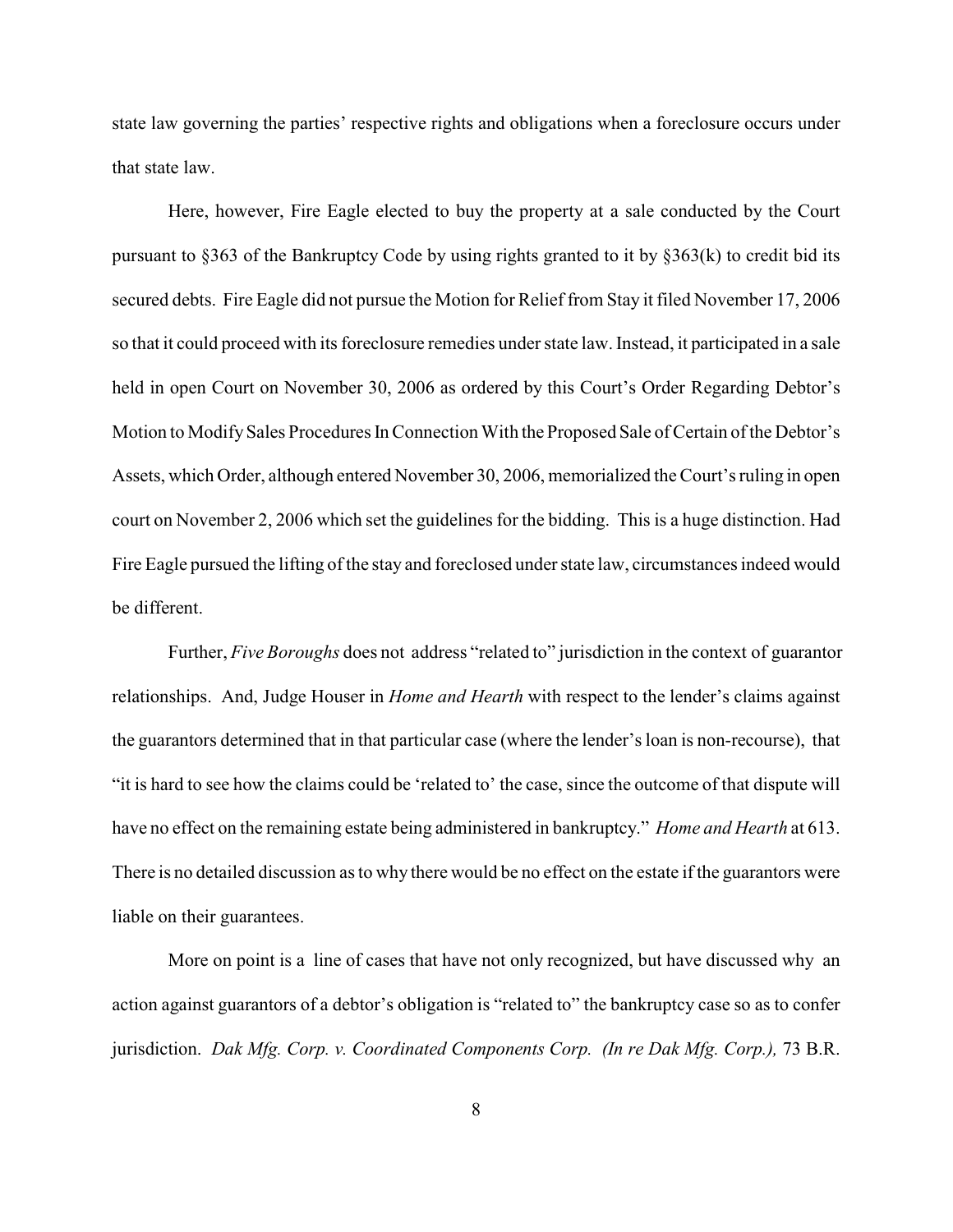state law governing the parties' respective rights and obligations when a foreclosure occurs under that state law.

Here, however, Fire Eagle elected to buy the property at a sale conducted by the Court pursuant to §363 of the Bankruptcy Code by using rights granted to it by §363(k) to credit bid its secured debts. Fire Eagle did not pursue the Motion for Relief from Stay it filed November 17, 2006 so that it could proceed with its foreclosure remedies under state law. Instead, it participated in a sale held in open Court on November 30, 2006 as ordered by this Court's Order Regarding Debtor's Motion to Modify Sales Procedures In Connection With the Proposed Sale of Certain of the Debtor's Assets, which Order, although entered November 30, 2006, memorialized the Court's ruling in open court on November 2, 2006 which set the guidelines for the bidding. This is a huge distinction. Had Fire Eagle pursued the lifting of the stay and foreclosed under state law, circumstances indeed would be different.

 Further, *Five Boroughs* does not address "related to" jurisdiction in the context of guarantor relationships. And, Judge Houser in *Home and Hearth* with respect to the lender's claims against the guarantors determined that in that particular case (where the lender's loan is non-recourse), that "it is hard to see how the claims could be 'related to' the case, since the outcome of that dispute will have no effect on the remaining estate being administered in bankruptcy." *Home and Hearth* at 613. There is no detailed discussion as to why there would be no effect on the estate if the guarantors were liable on their guarantees.

More on point is a line of cases that have not only recognized, but have discussed why an action against guarantors of a debtor's obligation is "related to" the bankruptcy case so as to confer jurisdiction. *Dak Mfg. Corp. v. Coordinated Components Corp. (In re Dak Mfg. Corp.),* 73 B.R.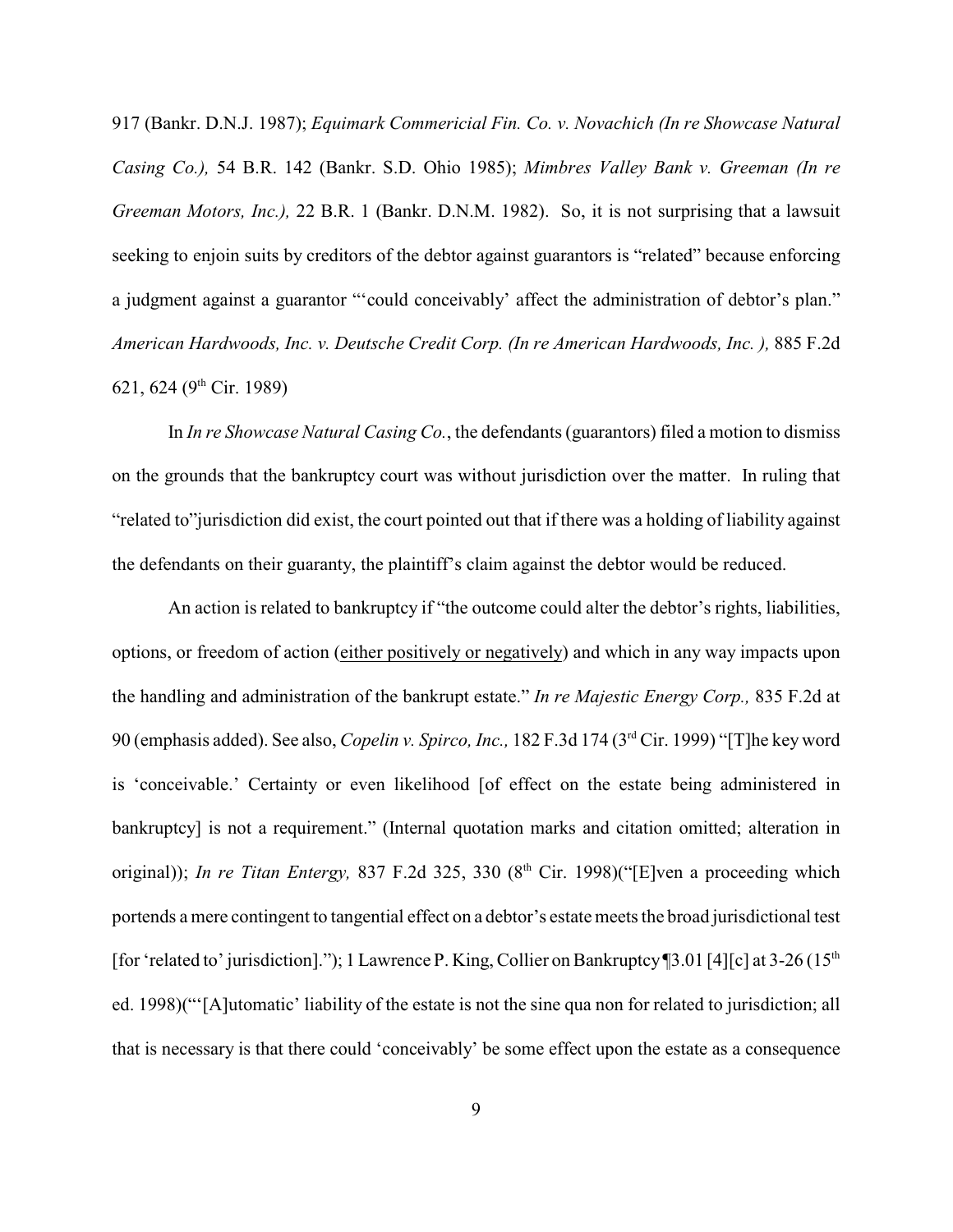917 (Bankr. D.N.J. 1987); *Equimark Commericial Fin. Co. v. Novachich (In re Showcase Natural Casing Co.),* 54 B.R. 142 (Bankr. S.D. Ohio 1985); *Mimbres Valley Bank v. Greeman (In re Greeman Motors, Inc.),* 22 B.R. 1 (Bankr. D.N.M. 1982). So, it is not surprising that a lawsuit seeking to enjoin suits by creditors of the debtor against guarantors is "related" because enforcing a judgment against a guarantor "'could conceivably' affect the administration of debtor's plan." *American Hardwoods, Inc. v. Deutsche Credit Corp. (In re American Hardwoods, Inc. ),* 885 F.2d 621, 624 (9<sup>th</sup> Cir. 1989)

In *In re Showcase Natural Casing Co.*, the defendants (guarantors) filed a motion to dismiss on the grounds that the bankruptcy court was without jurisdiction over the matter. In ruling that "related to"jurisdiction did exist, the court pointed out that if there was a holding of liability against the defendants on their guaranty, the plaintiff's claim against the debtor would be reduced.

An action is related to bankruptcy if "the outcome could alter the debtor's rights, liabilities, options, or freedom of action (either positively or negatively) and which in any way impacts upon the handling and administration of the bankrupt estate." *In re Majestic Energy Corp.,* 835 F.2d at 90 (emphasis added). See also, *Copelin v. Spirco, Inc.*, 182 F.3d 174 (3<sup>rd</sup> Cir. 1999) "[T]he key word is 'conceivable.' Certainty or even likelihood [of effect on the estate being administered in bankruptcy] is not a requirement." (Internal quotation marks and citation omitted; alteration in original)); *In re Titan Entergy*, 837 F.2d 325, 330 (8<sup>th</sup> Cir. 1998)("[E]ven a proceeding which portends a mere contingent to tangential effect on a debtor's estatemeets the broad jurisdictional test [for 'related to' jurisdiction]."); 1 Lawrence P. King, Collier on Bankruptcy [3.01 [4][c] at 3-26 (15<sup>th</sup> ed. 1998)("'[A]utomatic' liability of the estate is not the sine qua non for related to jurisdiction; all that is necessary is that there could 'conceivably' be some effect upon the estate as a consequence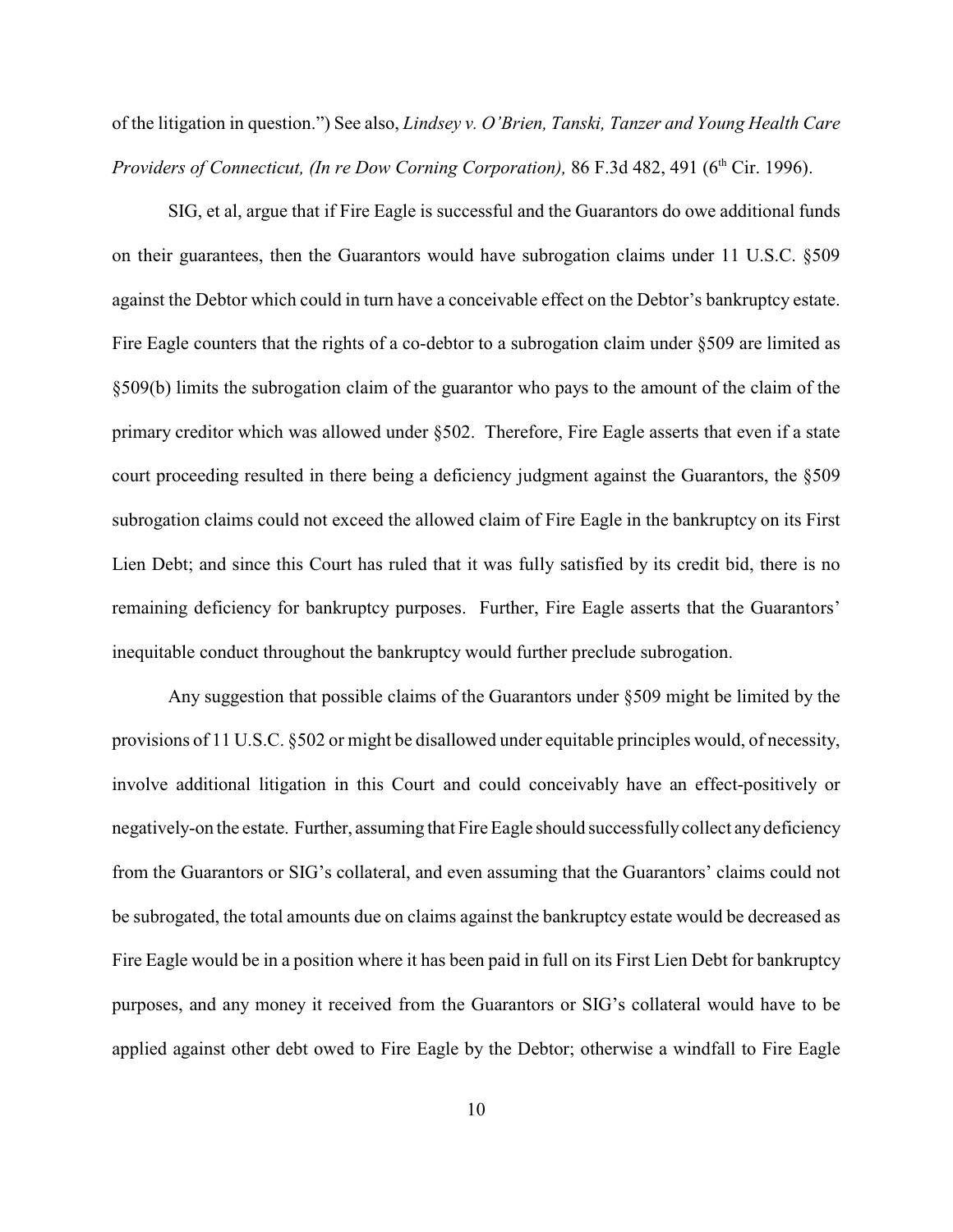of the litigation in question.") See also, *Lindsey v. O'Brien, Tanski, Tanzer and Young Health Care Providers of Connecticut, (In re Dow Corning Corporation),* 86 F.3d 482, 491 (6<sup>th</sup> Cir. 1996).

SIG, et al, argue that if Fire Eagle is successful and the Guarantors do owe additional funds on their guarantees, then the Guarantors would have subrogation claims under 11 U.S.C. §509 against the Debtor which could in turn have a conceivable effect on the Debtor's bankruptcy estate. Fire Eagle counters that the rights of a co-debtor to a subrogation claim under §509 are limited as §509(b) limits the subrogation claim of the guarantor who pays to the amount of the claim of the primary creditor which was allowed under §502. Therefore, Fire Eagle asserts that even if a state court proceeding resulted in there being a deficiency judgment against the Guarantors, the §509 subrogation claims could not exceed the allowed claim of Fire Eagle in the bankruptcy on its First Lien Debt; and since this Court has ruled that it was fully satisfied by its credit bid, there is no remaining deficiency for bankruptcy purposes. Further, Fire Eagle asserts that the Guarantors' inequitable conduct throughout the bankruptcy would further preclude subrogation.

Any suggestion that possible claims of the Guarantors under §509 might be limited by the provisions of 11 U.S.C. §502 or might be disallowed under equitable principles would, of necessity, involve additional litigation in this Court and could conceivably have an effect-positively or negatively-on the estate. Further, assuming that Fire Eagle should successfully collect any deficiency from the Guarantors or SIG's collateral, and even assuming that the Guarantors' claims could not be subrogated, the total amounts due on claims against the bankruptcy estate would be decreased as Fire Eagle would be in a position where it has been paid in full on its First Lien Debt for bankruptcy purposes, and any money it received from the Guarantors or SIG's collateral would have to be applied against other debt owed to Fire Eagle by the Debtor; otherwise a windfall to Fire Eagle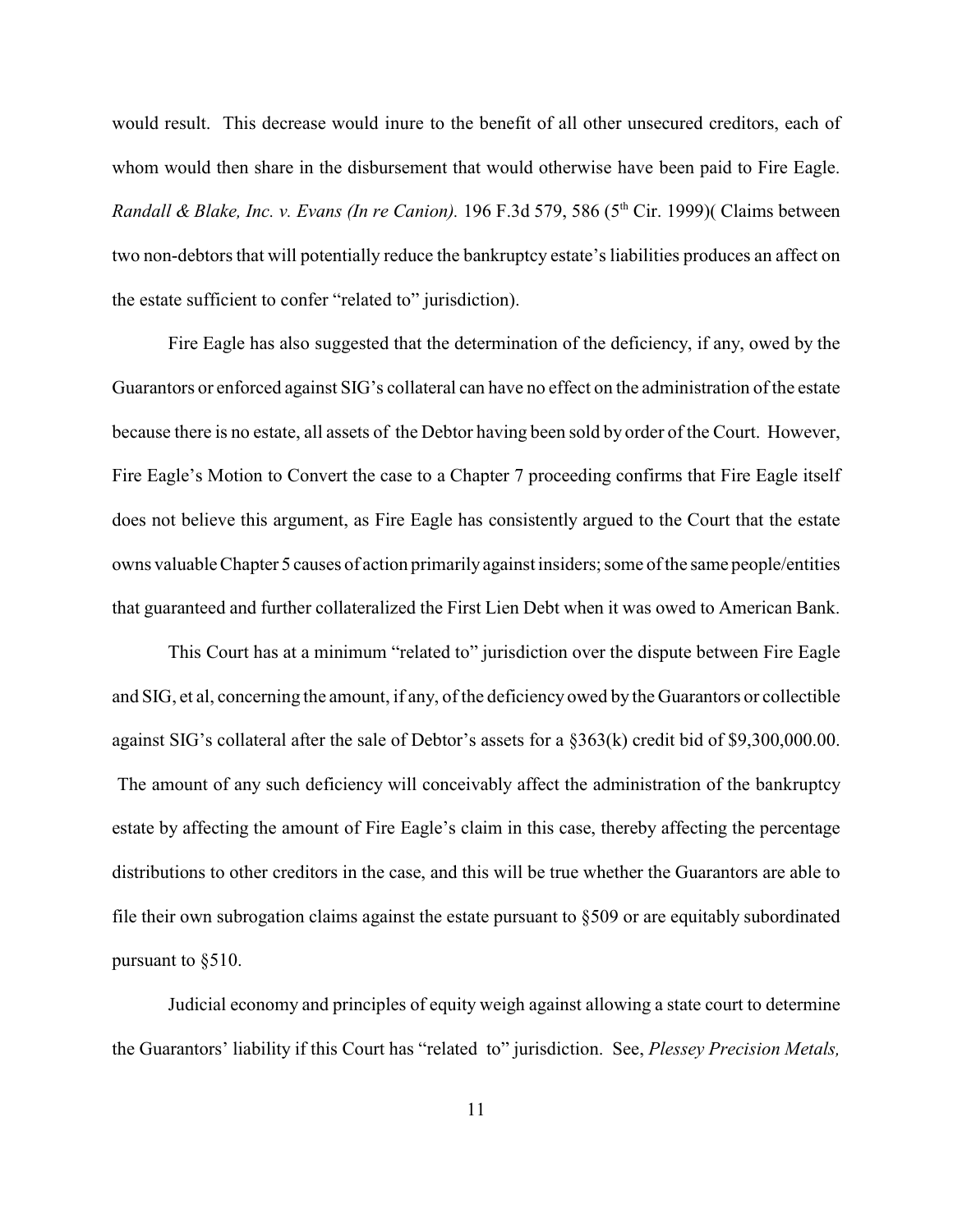would result. This decrease would inure to the benefit of all other unsecured creditors, each of whom would then share in the disbursement that would otherwise have been paid to Fire Eagle. Randall & Blake, Inc. v. Evans (In re Canion). 196 F.3d 579, 586 (5<sup>th</sup> Cir. 1999)( Claims between two non-debtors that will potentially reduce the bankruptcy estate's liabilities produces an affect on the estate sufficient to confer "related to" jurisdiction).

Fire Eagle has also suggested that the determination of the deficiency, if any, owed by the Guarantors or enforced against SIG's collateral can have no effect on the administration of the estate because there is no estate, all assets of the Debtor having been sold by order of the Court. However, Fire Eagle's Motion to Convert the case to a Chapter 7 proceeding confirms that Fire Eagle itself does not believe this argument, as Fire Eagle has consistently argued to the Court that the estate owns valuable Chapter 5 causes of action primarily against insiders; some of the same people/entities that guaranteed and further collateralized the First Lien Debt when it was owed to American Bank.

This Court has at a minimum "related to" jurisdiction over the dispute between Fire Eagle and SIG, et al, concerning the amount, if any, of the deficiency owed by the Guarantors or collectible against SIG's collateral after the sale of Debtor's assets for a §363(k) credit bid of \$9,300,000.00. The amount of any such deficiency will conceivably affect the administration of the bankruptcy estate by affecting the amount of Fire Eagle's claim in this case, thereby affecting the percentage distributions to other creditors in the case, and this will be true whether the Guarantors are able to file their own subrogation claims against the estate pursuant to §509 or are equitably subordinated pursuant to §510.

Judicial economy and principles of equity weigh against allowing a state court to determine the Guarantors' liability if this Court has "related to" jurisdiction. See, *Plessey Precision Metals,*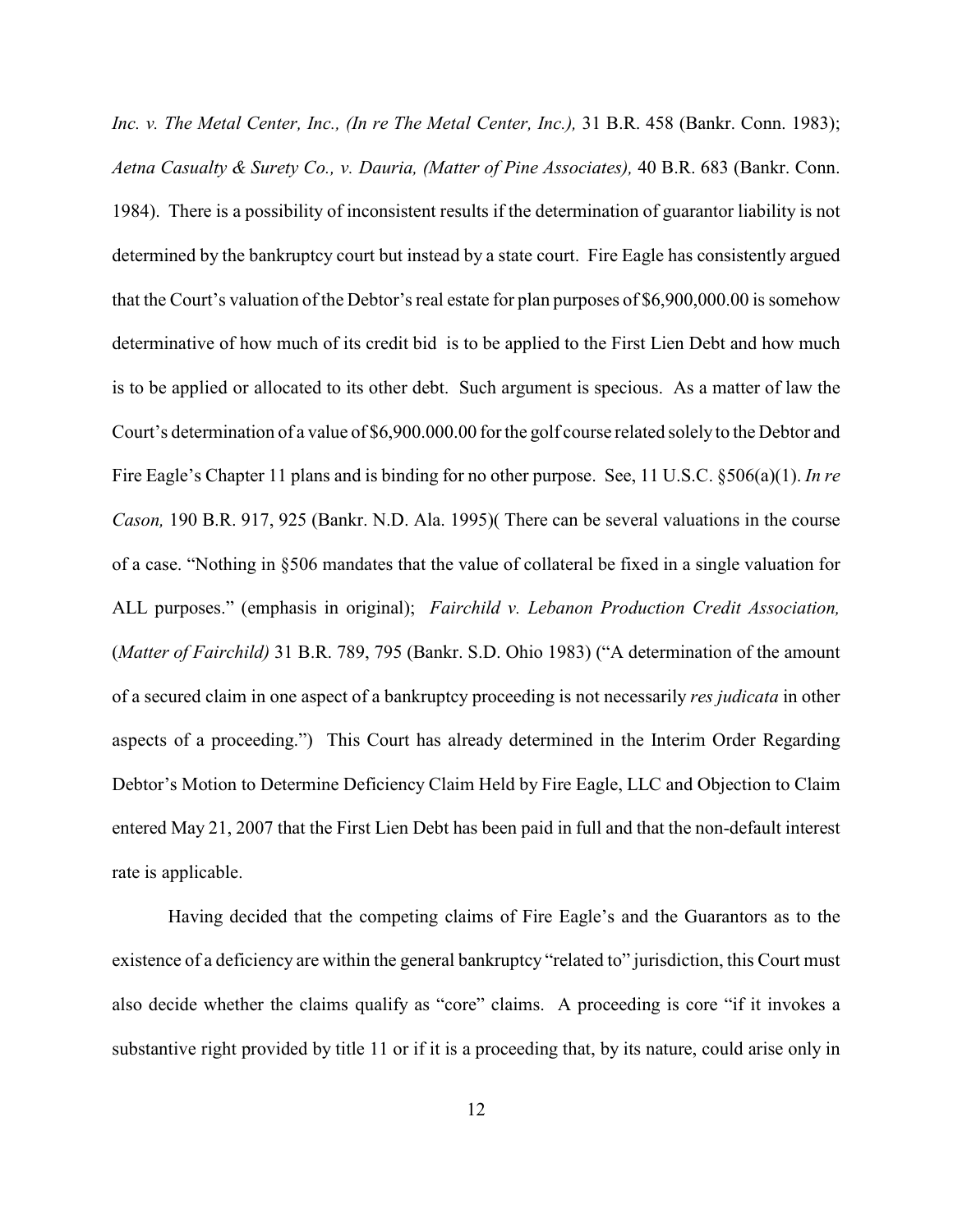*Inc. v. The Metal Center, Inc., (In re The Metal Center, Inc.),* 31 B.R. 458 (Bankr. Conn. 1983); *Aetna Casualty & Surety Co., v. Dauria, (Matter of Pine Associates),* 40 B.R. 683 (Bankr. Conn. 1984). There is a possibility of inconsistent results if the determination of guarantor liability is not determined by the bankruptcy court but instead by a state court. Fire Eagle has consistently argued that the Court's valuation of the Debtor's real estate for plan purposes of \$6,900,000.00 is somehow determinative of how much of its credit bid is to be applied to the First Lien Debt and how much is to be applied or allocated to its other debt. Such argument is specious. As a matter of law the Court's determination of a value of \$6,900.000.00 for the golf course related solely to the Debtor and Fire Eagle's Chapter 11 plans and is binding for no other purpose. See, 11 U.S.C. §506(a)(1). *In re Cason,* 190 B.R. 917, 925 (Bankr. N.D. Ala. 1995)( There can be several valuations in the course of a case. "Nothing in §506 mandates that the value of collateral be fixed in a single valuation for ALL purposes." (emphasis in original); *Fairchild v. Lebanon Production Credit Association,* (*Matter of Fairchild)* 31 B.R. 789, 795 (Bankr. S.D. Ohio 1983) ("A determination of the amount of a secured claim in one aspect of a bankruptcy proceeding is not necessarily *res judicata* in other aspects of a proceeding.") This Court has already determined in the Interim Order Regarding Debtor's Motion to Determine Deficiency Claim Held by Fire Eagle, LLC and Objection to Claim entered May 21, 2007 that the First Lien Debt has been paid in full and that the non-default interest rate is applicable.

Having decided that the competing claims of Fire Eagle's and the Guarantors as to the existence of a deficiency are within the general bankruptcy "related to" jurisdiction, this Court must also decide whether the claims qualify as "core" claims. A proceeding is core "if it invokes a substantive right provided by title 11 or if it is a proceeding that, by its nature, could arise only in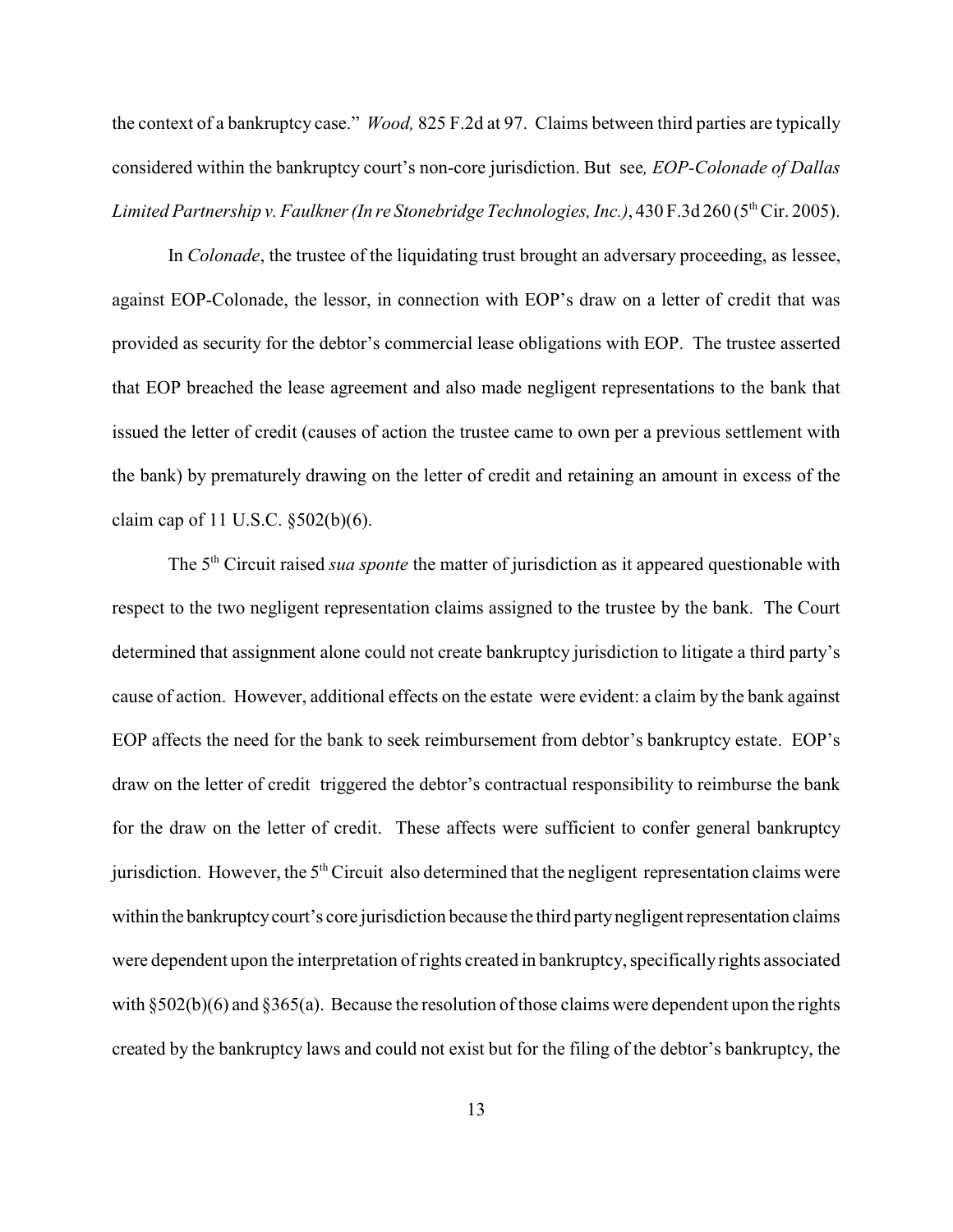the context of a bankruptcy case." *Wood,* 825 F.2d at 97. Claims between third parties are typically considered within the bankruptcy court's non-core jurisdiction. But see*, EOP-Colonade of Dallas Limited Partnership v. Faulkner (In re Stonebridge Technologies, Inc.)*, 430 F.3d 260 (5<sup>th</sup> Cir. 2005).

 In *Colonade*, the trustee of the liquidating trust brought an adversary proceeding, as lessee, against EOP-Colonade, the lessor, in connection with EOP's draw on a letter of credit that was provided as security for the debtor's commercial lease obligations with EOP. The trustee asserted that EOP breached the lease agreement and also made negligent representations to the bank that issued the letter of credit (causes of action the trustee came to own per a previous settlement with the bank) by prematurely drawing on the letter of credit and retaining an amount in excess of the claim cap of 11 U.S.C. §502(b)(6).

The 5<sup>th</sup> Circuit raised *sua sponte* the matter of jurisdiction as it appeared questionable with respect to the two negligent representation claims assigned to the trustee by the bank. The Court determined that assignment alone could not create bankruptcy jurisdiction to litigate a third party's cause of action. However, additional effects on the estate were evident: a claim by the bank against EOP affects the need for the bank to seek reimbursement from debtor's bankruptcy estate. EOP's draw on the letter of credit triggered the debtor's contractual responsibility to reimburse the bank for the draw on the letter of credit. These affects were sufficient to confer general bankruptcy jurisdiction. However, the  $5<sup>th</sup>$  Circuit also determined that the negligent representation claims were within the bankruptcy court's core jurisdiction because the third party negligent representation claims were dependent upon the interpretation of rights created in bankruptcy, specifically rights associated with  $\S 502(b)(6)$  and  $\S 365(a)$ . Because the resolution of those claims were dependent upon the rights created by the bankruptcy laws and could not exist but for the filing of the debtor's bankruptcy, the